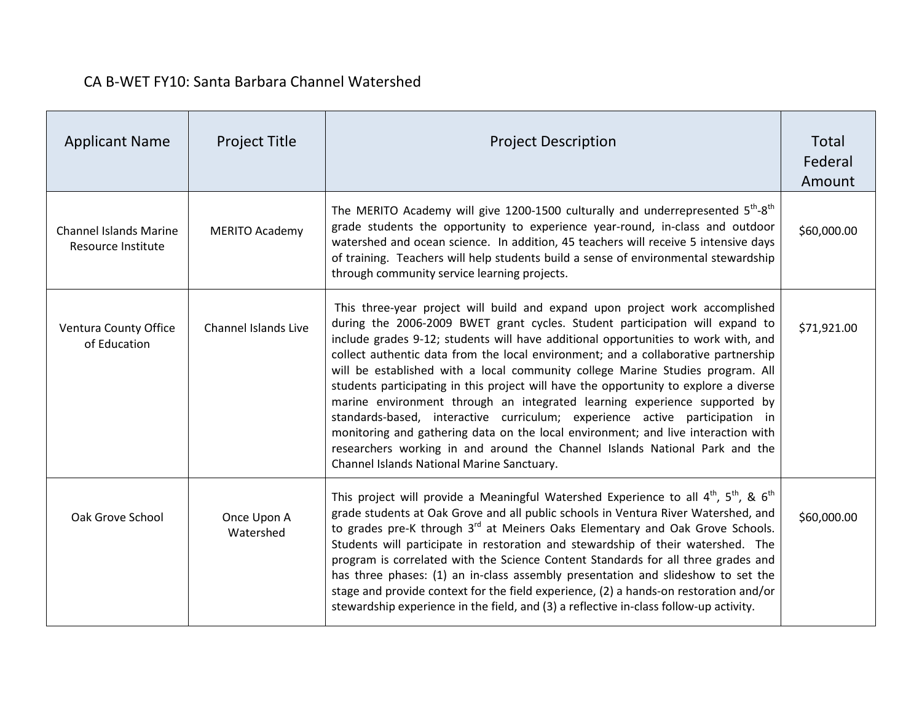| <b>Applicant Name</b>                               | <b>Project Title</b>        | <b>Project Description</b>                                                                                                                                                                                                                                                                                                                                                                                                                                                                                                                                                                                                                                                                                                                                                                                                                                                                        | Total<br>Federal<br>Amount |
|-----------------------------------------------------|-----------------------------|---------------------------------------------------------------------------------------------------------------------------------------------------------------------------------------------------------------------------------------------------------------------------------------------------------------------------------------------------------------------------------------------------------------------------------------------------------------------------------------------------------------------------------------------------------------------------------------------------------------------------------------------------------------------------------------------------------------------------------------------------------------------------------------------------------------------------------------------------------------------------------------------------|----------------------------|
| <b>Channel Islands Marine</b><br>Resource Institute | <b>MERITO Academy</b>       | The MERITO Academy will give 1200-1500 culturally and underrepresented $5^{th}$ - $8^{th}$<br>grade students the opportunity to experience year-round, in-class and outdoor<br>watershed and ocean science. In addition, 45 teachers will receive 5 intensive days<br>of training. Teachers will help students build a sense of environmental stewardship<br>through community service learning projects.                                                                                                                                                                                                                                                                                                                                                                                                                                                                                         | \$60,000.00                |
| Ventura County Office<br>of Education               | <b>Channel Islands Live</b> | This three-year project will build and expand upon project work accomplished<br>during the 2006-2009 BWET grant cycles. Student participation will expand to<br>include grades 9-12; students will have additional opportunities to work with, and<br>collect authentic data from the local environment; and a collaborative partnership<br>will be established with a local community college Marine Studies program. All<br>students participating in this project will have the opportunity to explore a diverse<br>marine environment through an integrated learning experience supported by<br>standards-based, interactive curriculum; experience active participation in<br>monitoring and gathering data on the local environment; and live interaction with<br>researchers working in and around the Channel Islands National Park and the<br>Channel Islands National Marine Sanctuary. | \$71,921.00                |
| Oak Grove School                                    | Once Upon A<br>Watershed    | This project will provide a Meaningful Watershed Experience to all $4^{th}$ , $5^{th}$ , & $6^{th}$<br>grade students at Oak Grove and all public schools in Ventura River Watershed, and<br>to grades pre-K through 3 <sup>rd</sup> at Meiners Oaks Elementary and Oak Grove Schools.<br>Students will participate in restoration and stewardship of their watershed. The<br>program is correlated with the Science Content Standards for all three grades and<br>has three phases: (1) an in-class assembly presentation and slideshow to set the<br>stage and provide context for the field experience, (2) a hands-on restoration and/or<br>stewardship experience in the field, and (3) a reflective in-class follow-up activity.                                                                                                                                                            | \$60,000.00                |